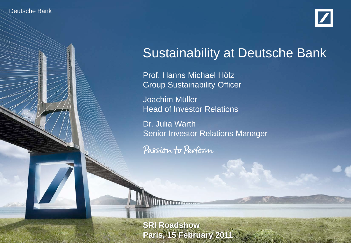#### Deutsche Bank

Deutsche Banker

Investor Relations 02/11



# Sustainability at Deutsche Bank

Prof. Hanns Michael Hölz Group Sustainability Officer Joachim Müller Head of Investor Relations

Dr. Julia Warth Senior Investor Relations Manager

Passion to Perform

**SRI Roadshow** at Deutsche Bank at Deutsche Bank **Paris, 15 February 2011**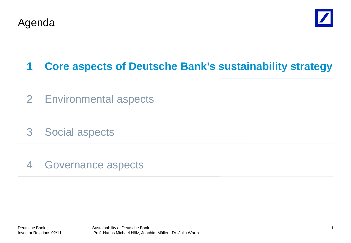



# **1 Core aspects of Deutsche Bank's sustainability strategy**

- 2 Environmental aspects
- 3 Social aspects
- 4 Governance aspects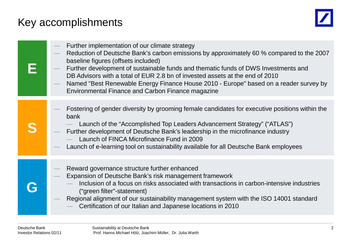# Key accomplishments



| Further implementation of our climate strategy<br>Reduction of Deutsche Bank's carbon emissions by approximately 60 % compared to the 2007<br>baseline figures (offsets included)<br>Further development of sustainable funds and thematic funds of DWS Investments and<br>DB Advisors with a total of EUR 2.8 bn of invested assets at the end of 2010<br>Named "Best Renewable Energy Finance House 2010 - Europe" based on a reader survey by<br><b>Environmental Finance and Carbon Finance magazine</b> |
|--------------------------------------------------------------------------------------------------------------------------------------------------------------------------------------------------------------------------------------------------------------------------------------------------------------------------------------------------------------------------------------------------------------------------------------------------------------------------------------------------------------|
| Fostering of gender diversity by grooming female candidates for executive positions within the<br>bank<br>Launch of the "Accomplished Top Leaders Advancement Strategy" ("ATLAS")<br>Further development of Deutsche Bank's leadership in the microfinance industry<br>Launch of FINCA Microfinance Fund in 2009<br>Launch of e-learning tool on sustainability available for all Deutsche Bank employees                                                                                                    |
| Reward governance structure further enhanced<br>Expansion of Deutsche Bank's risk management framework<br>Inclusion of a focus on risks associated with transactions in carbon-intensive industries<br>("green filter"-statement)<br>Regional alignment of our sustainability management system with the ISO 14001 standard<br>Certification of our Italian and Japanese locations in 2010                                                                                                                   |
|                                                                                                                                                                                                                                                                                                                                                                                                                                                                                                              |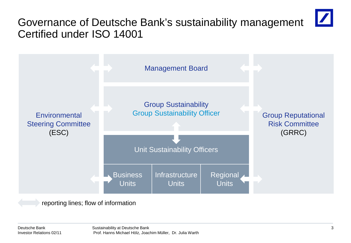# Governance of Deutsche Bank's sustainability management Certified under ISO 14001



reporting lines; flow of information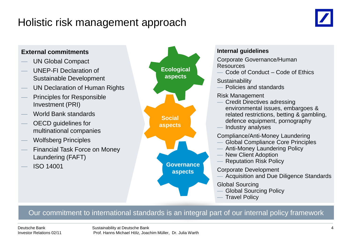# Holistic risk management approach





#### Our commitment to international standards is an integral part of our internal policy framework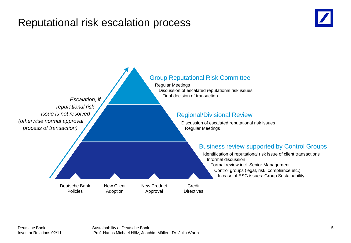# Reputational risk escalation process



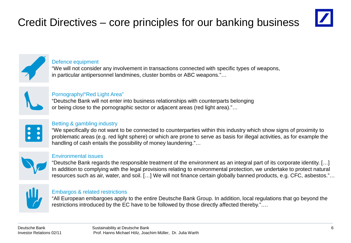# Credit Directives – core principles for our banking business





#### Defence equipment

"We will not consider any involvement in transactions connected with specific types of weapons, in particular antipersonnel landmines, cluster bombs or ABC weapons."…



#### Pornography/"Red Light Area"

"Deutsche Bank will not enter into business relationships with counterparts belonging or being close to the pornographic sector or adjacent areas (red light area)."…



#### Betting & gambling industry

"We specifically do not want to be connected to counterparties within this industry which show signs of proximity to problematic areas (e.g. red light sphere) or which are prone to serve as basis for illegal activities, as for example the handling of cash entails the possibility of money laundering."...



#### Environmental issues

"Deutsche Bank regards the responsible treatment of the environment as an integral part of its corporate identity. […] In addition to complying with the legal provisions relating to environmental protection, we undertake to protect natural resources such as air, water, and soil. […] We will not finance certain globally banned products, e.g. CFC, asbestos."…



#### Embargos & related restrictions

"All European embargoes apply to the entire Deutsche Bank Group. In addition, local regulations that go beyond the restrictions introduced by the EC have to be followed by those directly affected thereby."....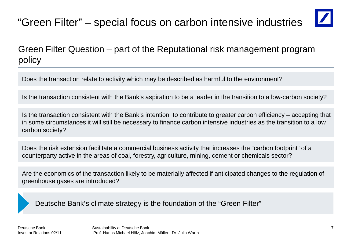# "Green Filter" – special focus on carbon intensive industries



# Green Filter Question – part of the Reputational risk management program policy

Does the transaction relate to activity which may be described as harmful to the environment?

Is the transaction consistent with the Bank's aspiration to be a leader in the transition to a low-carbon society?

Is the transaction consistent with the Bank's intention to contribute to greater carbon efficiency – accepting that in some circumstances it will still be necessary to finance carbon intensive industries as the transition to a low carbon society?

Does the risk extension facilitate a commercial business activity that increases the "carbon footprint" of a counterparty active in the areas of coal, forestry, agriculture, mining, cement or chemicals sector?

Are the economics of the transaction likely to be materially affected if anticipated changes to the regulation of greenhouse gases are introduced?

Deutsche Bank's climate strategy is the foundation of the "Green Filter"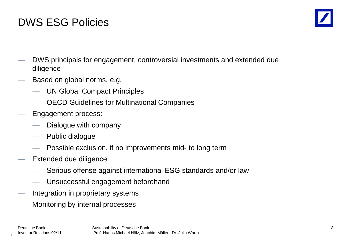# DWS ESG Policies



- DWS principals for engagement, controversial investments and extended due diligence
- Based on global norms, e.g.
	- UN Global Compact Principles
	- OECD Guidelines for Multinational Companies
- Engagement process:
	- Dialogue with company
	- Public dialogue
	- Possible exclusion, if no improvements mid- to long term
- Extended due diligence:
	- Serious offense against international ESG standards and/or law
	- Unsuccessful engagement beforehand
- Integration in proprietary systems
- Monitoring by internal processes

8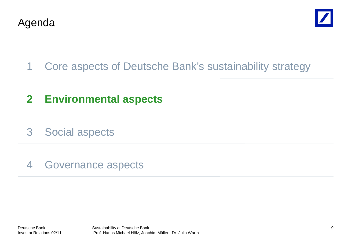



# 1 Core aspects of Deutsche Bank's sustainability strategy

# **2 Environmental aspects**

3 Social aspects

# 4 Governance aspects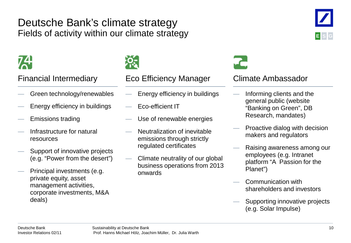# Deutsche Bank's climate strategy Fields of activity within our climate strategy



- Green technology/renewables
- Energy efficiency in buildings
- Emissions trading
- Infrastructure for natural resources
- Support of innovative projects (e.g. "Power from the desert")
- Principal investments (e.g. private equity, asset management activities, corporate investments, M&A deals)



### Financial Intermediary Eco Efficiency Manager Climate Ambassador

- Energy efficiency in buildings
- Eco-efficient IT
- Use of renewable energies
- Neutralization of inevitable emissions through strictly regulated certificates
- Climate neutrality of our global business operations from 2013 onwards



- Informing clients and the general public (website "Banking on Green", DB Research, mandates)
- Proactive dialog with decision makers and regulators
- Raising awareness among our employees (e.g. Intranet platform "A Passion for the Planet")
- Communication with shareholders and investors
- Supporting innovative projects (e.g. Solar Impulse)

**E S G**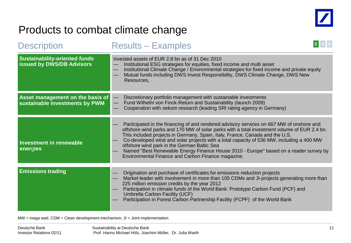

# Products to combat climate change

| <b>Description</b>                                                       | <b>Results - Examples</b>                                                                                                                                                                                                                                                                                                                                                                                                                                                                                                                                         |  |
|--------------------------------------------------------------------------|-------------------------------------------------------------------------------------------------------------------------------------------------------------------------------------------------------------------------------------------------------------------------------------------------------------------------------------------------------------------------------------------------------------------------------------------------------------------------------------------------------------------------------------------------------------------|--|
| <b>Sustainability-oriented funds</b><br><b>issued by DWS/DB Advisors</b> | Invested assets of EUR 2.8 bn as of 31 Dec 2010<br>Institutional ESG strategies for equities, fixed income and multi asset<br>Institutional Climate Change / Environmental strategies for fixed income and private equity<br>—<br>Mutual funds including DWS Invest Responsibility, DWS Climate Change, DWS New<br>Resources,                                                                                                                                                                                                                                     |  |
| Asset management on the basis of<br>sustainable investments by PWM       | Discretionary portfolio management with sustainable investments<br>$\overline{\phantom{0}}$<br>Fund Wilhelm von Finck-Return and Sustainability (launch 2009)<br>Cooperation with oekom research (leading SRI rating agency in Germany)                                                                                                                                                                                                                                                                                                                           |  |
| <b>Investment in renewable</b><br>energies                               | Participated in the financing of and rendered advisory services on 667 MW of onshore and<br>offshore wind parks and 170 MW of solar parks with a total investment volume of EUR 2.4 bn.<br>This included projects in Germany, Spain, Italy, France, Canada and the U.S.<br>Co-developed wind and solar projects with a total capacity of 536 MW, including a 400 MW<br>offshore wind park in the German Baltic Sea<br>Named "Best Renewable Energy Finance House 2010 - Europe" based on a reader survey by<br>Environmental Finance and Carbon Finance magazine. |  |
| <b>Emissions trading</b>                                                 | Origination and purchase of certificates for emissions reduction projects<br>Market leader with involvement in more than 105 CDMs and JI-projects generating more than<br>225 million emission credits by the year 2012<br>Participation in climate funds of the World Bank: Prototype Carbon Fund (PCF) and<br>Umbrella Carbon Facility (UCF)<br>Participation in Forest Carbon Partnership Facility (FCPF) of the World Bank                                                                                                                                    |  |

 $MW = mega$  watt;  $CDM = Clean$  development mechanism;  $JI = Joint implementation$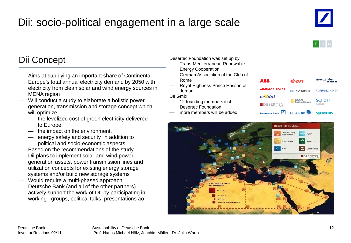# Dii: socio-political engagement in a large scale





# Dii Concept

- Aims at supplying an important share of Continental Europe's total annual electricity demand by 2050 with electricity from clean solar and wind energy sources in MENA region
- Will conduct a study to elaborate a holistic power generation, transmission and storage concept which will optimize:
	- the levelized cost of green electricity delivered to Europe,
	- the impact on the environment,
	- energy safety and security, in addition to political and socio-economic aspects.
- Based on the recommendations of the study Dii plans to implement solar and wind power generation assets, power transmission lines and utilization concepts for existing energy storage systems and/or build new storage systems
- Would require a multi-phased approach
- Deutsche Bank (and all of the other partners) actively support the work of DII by participating in working groups, political talks, presentations ao

#### Desertec Foundation was set up by

- Trans-Mediterranean Renewable Energy Cooperation
- German Association of the Club of Rome
- Royal Highness Prince Hassan of Jordan

DII GmbH

- 12 founding members incl. Desertec Foundation
- more members will be added



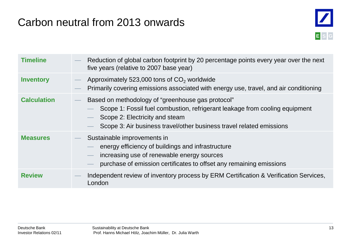# Carbon neutral from 2013 onwards



| <b>Timeline</b>    | Reduction of global carbon footprint by 20 percentage points every year over the next<br>five years (relative to 2007 base year)                                                                                                           |
|--------------------|--------------------------------------------------------------------------------------------------------------------------------------------------------------------------------------------------------------------------------------------|
| <b>Inventory</b>   | Approximately 523,000 tons of CO <sub>2</sub> worldwide<br>Primarily covering emissions associated with energy use, travel, and air conditioning                                                                                           |
| <b>Calculation</b> | Based on methodology of "greenhouse gas protocol"<br>Scope 1: Fossil fuel combustion, refrigerant leakage from cooling equipment<br>Scope 2: Electricity and steam<br>Scope 3: Air business travel/other business travel related emissions |
| <b>Measures</b>    | Sustainable improvements in<br>energy efficiency of buildings and infrastructure<br>increasing use of renewable energy sources<br>$\overline{\phantom{0}}$<br>purchase of emission certificates to offset any remaining emissions          |
| <b>Review</b>      | Independent review of inventory process by ERM Certification & Verification Services,<br>London                                                                                                                                            |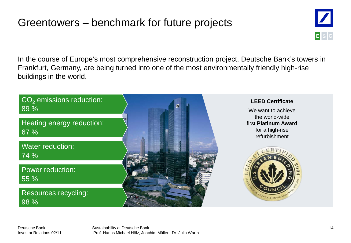# Greentowers – benchmark for future projects



In the course of Europe's most comprehensive reconstruction project, Deutsche Bank's towers in Frankfurt, Germany, are being turned into one of the most environmentally friendly high-rise buildings in the world.

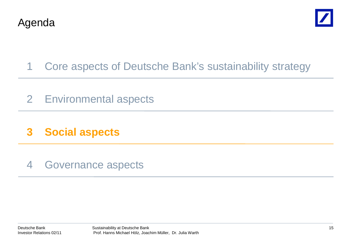



- 1 Core aspects of Deutsche Bank's sustainability strategy
- 2 Environmental aspects
- **3 Social aspects**
- 4 Governance aspects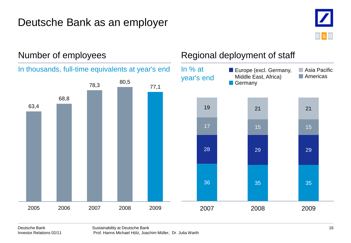# Deutsche Bank as an employer





# Number of employees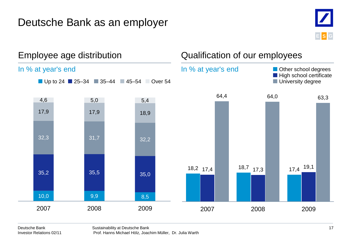# Deutsche Bank as an employer



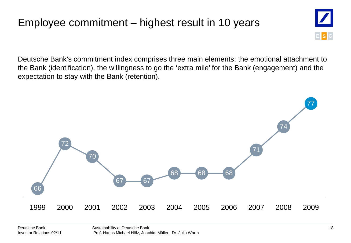# Employee commitment – highest result in 10 years



Deutsche Bank's commitment index comprises three main elements: the emotional attachment to the Bank (identification), the willingness to go the 'extra mile' for the Bank (engagement) and the expectation to stay with the Bank (retention).

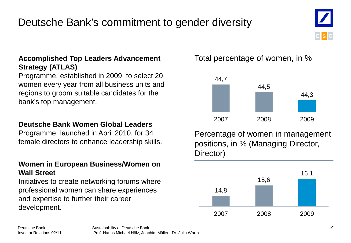# Deutsche Bank's commitment to gender diversity

### **Accomplished Top Leaders Advancement Strategy (ATLAS)**

Programme, established in 2009, to select 20 women every year from all business units and regions to groom suitable candidates for the bank's top management.

### **Deutsche Bank Women Global Leaders**

Programme, launched in April 2010, for 34 female directors to enhance leadership skills.

### **Women in European Business/Women on Wall Street**

Initiatives to create networking forums where professional women can share experiences and expertise to further their career development.

Total percentage of women, in %



Percentage of women in management positions, in % (Managing Director, Director)



**E S G**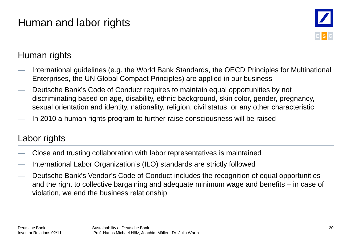# Human and labor rights



# Human rights

- International guidelines (e.g. the World Bank Standards, the OECD Principles for Multinational Enterprises, the UN Global Compact Principles) are applied in our business
- Deutsche Bank's Code of Conduct requires to maintain equal opportunities by not discriminating based on age, disability, ethnic background, skin color, gender, pregnancy, sexual orientation and identity, nationality, religion, civil status, or any other characteristic
- In 2010 a human rights program to further raise consciousness will be raised

# Labor rights

- Close and trusting collaboration with labor representatives is maintained
- International Labor Organization's (ILO) standards are strictly followed
- Deutsche Bank's Vendor's Code of Conduct includes the recognition of equal opportunities and the right to collective bargaining and adequate minimum wage and benefits – in case of violation, we end the business relationship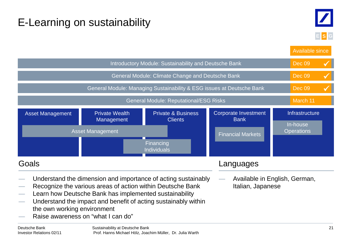# E-Learning on sustainability



Private Wealth Management Private & Business Clients Corporate Investment Bank Asset Management Private Wealth Private & Business Corporate Investment Infrastructure Asset Management In-house **Operations** Introductory Module: Sustainability and Deutsche Bank General Module: Climate Change and Deutsche Bank General Module: Managing Sustainability & ESG issues at Deutsche Bank General Module: Reputational/ESG Risks Dec 09 Available since Dec 09 Dec 09 March 11 Financial Markets Financing Individuals — Understand the dimension and importance of acting sustainably — Recognize the various areas of action within Deutsche Bank Learn how Deutsche Bank has implemented sustainability Understand the impact and benefit of acting sustainably within the own working environment Raise awareness on "what I can do" Goals — Available in English, German, Italian, Japanese Languages  $\checkmark$  $\checkmark$  $\checkmark$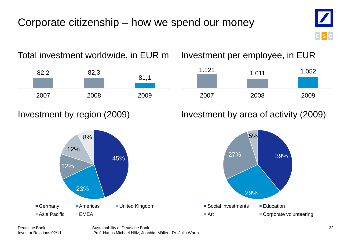# Corporate citizenship – how we spend our money





# 1.121 1.011 1.052



# Investment by region (2009) Investment by area of activity (2009)

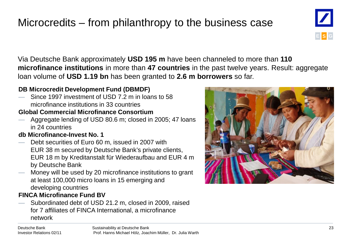# Microcredits – from philanthropy to the business case



Via Deutsche Bank approximately **USD 195 m** have been channeled to more than **110 microfinance institutions** in more than **47 countries** in the past twelve years. Result: aggregate loan volume of **USD 1.19 bn** has been granted to **2.6 m borrowers** so far.

### **DB Microcredit Development Fund (DBMDF)**

 $-$  Since 1997 investment of USD 7.2 m in loans to 58 microfinance institutions in 33 countries

#### **Global Commercial Microfinance Consortium**

Aggregate lending of USD 80.6 m; closed in 2005; 47 loans in 24 countries

#### **db Microfinance-Invest No. 1**

- Debt securities of Euro 60 m, issued in 2007 with EUR 38 m secured by Deutsche Bank's private clients, EUR 18 m by Kreditanstalt für Wiederaufbau and EUR 4 m by Deutsche Bank
- Money will be used by 20 microfinance institutions to grant at least 100,000 micro loans in 15 emerging and developing countries

### **FINCA Microfinance Fund BV**

— Subordinated debt of USD 21.2 m, closed in 2009, raised for 7 affiliates of FINCA International, a microfinance network



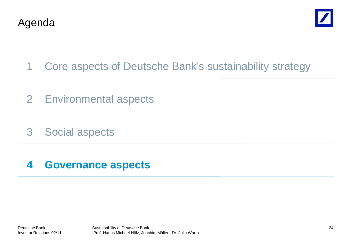



- 1 Core aspects of Deutsche Bank's sustainability strategy
- 2 Environmental aspects
- 3 Social aspects

# **4 Governance aspects**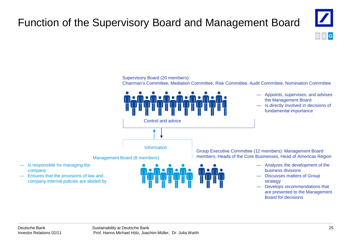# Function of the Supervisory Board and Management Board



Supervisory Board (20 members):

Chairman's Committee, Mediation Committee, Risk Committee, Audit Committee, Nomination Committee



— Develops recommendations that are presented to the Management Board for decisions

company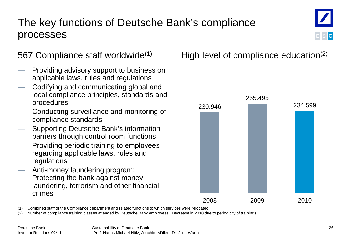# The key functions of Deutsche Bank's compliance processes



- Providing advisory support to business on applicable laws, rules and regulations
- Codifying and communicating global and local compliance principles, standards and procedures
- Conducting surveillance and monitoring of compliance standards
- Supporting Deutsche Bank's information barriers through control room functions
- Providing periodic training to employees regarding applicable laws, rules and regulations
- Anti-money laundering program: Protecting the bank against money laundering, terrorism and other financial crimes

# 567 Compliance staff worldwide<sup>(1)</sup> High level of compliance education<sup>(2)</sup>



(1) Combined staff of the Compliance department and related functions to which services were relocated.

(2) Number of compliance training classes attended by Deutsche Bank employees. Decrease in 2010 due to periodicity of trainings.

**E S G**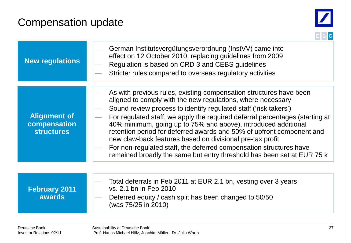# Compensation update



| <b>New regulations</b>                                   | German Institutsvergütungsverordnung (InstVV) came into<br>effect on 12 October 2010, replacing guidelines from 2009<br>Regulation is based on CRD 3 and CEBS guidelines<br>Stricter rules compared to overseas regulatory activities                                                                                                                                                                                                                                                                                                                                                                                                         |
|----------------------------------------------------------|-----------------------------------------------------------------------------------------------------------------------------------------------------------------------------------------------------------------------------------------------------------------------------------------------------------------------------------------------------------------------------------------------------------------------------------------------------------------------------------------------------------------------------------------------------------------------------------------------------------------------------------------------|
| <b>Alignment of</b><br>compensation<br><b>structures</b> | As with previous rules, existing compensation structures have been<br>aligned to comply with the new regulations, where necessary<br>Sound review process to identify regulated staff ('risk takers')<br>For regulated staff, we apply the required deferral percentages (starting at<br>40% minimum, going up to 75% and above), introduced additional<br>retention period for deferred awards and 50% of upfront component and<br>new claw-back features based on divisional pre-tax profit<br>For non-regulated staff, the deferred compensation structures have<br>remained broadly the same but entry threshold has been set at EUR 75 k |
| <b>February 2011</b><br><b>awards</b>                    | Total deferrals in Feb 2011 at EUR 2.1 bn, vesting over 3 years,<br>vs. 2.1 bn in Feb 2010<br>Deferred equity / cash split has been changed to 50/50<br>(was 75/25 in 2010)                                                                                                                                                                                                                                                                                                                                                                                                                                                                   |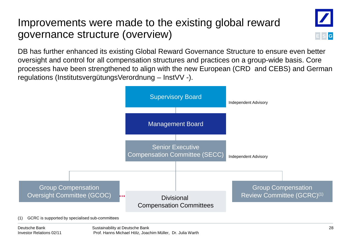# Improvements were made to the existing global reward governance structure (overview)



DB has further enhanced its existing Global Reward Governance Structure to ensure even better oversight and control for all compensation structures and practices on a group-wide basis. Core processes have been strengthened to align with the new European (CRD and CEBS) and German regulations (InstitutsvergütungsVerordnung – InstVV -).

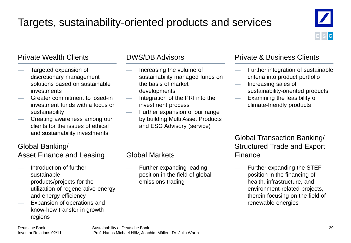# Targets, sustainability-oriented products and services



### Private Wealth Clients

- Targeted expansion of discretionary management solutions based on sustainable investments
- Greater commitment to losed-in investment funds with a focus on sustainability
- Creating awareness among our clients for the issues of ethical and sustainability investments

#### DWS/DB Advisors

- Increasing the volume of sustainability managed funds on the basis of market developments
- Integration of the PRI into the investment process
- Further expansion of our range by building Multi Asset Products and ESG Advisory (service)

#### Private & Business Clients

- Further integration of sustainable criteria into product portfolio
- Increasing sales of sustainability-oriented products
- Examining the feasibility of climate-friendly products

### Global Transaction Banking/ Structured Trade and Export Finance

— Further expanding the STEF position in the financing of health, infrastructure, and environment-related projects, therein focusing on the field of renewable energies

# Global Banking/

Asset Finance and Leasing

- Introduction of further sustainable products/projects for the utilization of regenerative energy and energy efficiency
- Expansion of operations and know-how transfer in growth regions

### Global Markets

Further expanding leading position in the field of global emissions trading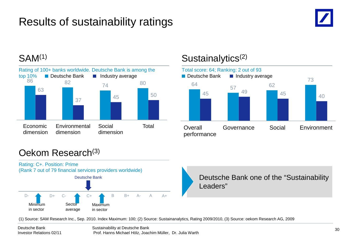# Results of sustainability ratings





# SAM<sup>(1)</sup> Sustainalytics<sup>(2)</sup>



# Oekom Research(3)

![](_page_30_Figure_7.jpeg)

(1) Source: SAM Research Inc., Sep. 2010. Index Maximum: 100; (2) Source: Sustainanalytics, Rating 2009/2010, (3) Source: oekom Research AG, 2009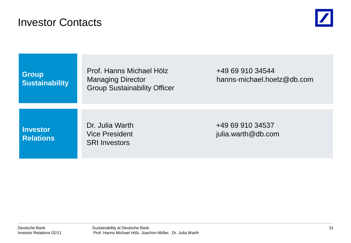# Investor Contacts

![](_page_31_Picture_1.jpeg)

**Group Sustainability** Prof. Hanns Michael Hölz **+49 69 910 34544** Group Sustainability Officer

Managing Director hanns-michael.hoelz@db.com

**Investor Relations** SRI Investors

Dr. Julia Warth +49 69 910 34537 Vice President in the settlement of the settlement of the settlement of the pullia.warth@db.com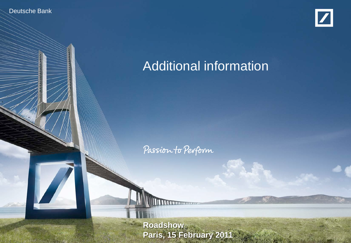Deutsche Banker

Investor Relations 02/11

![](_page_32_Picture_1.jpeg)

# Additional information

Passion to Perform

**Sustainability at Deutsche Bank Paris, 15 February 2011**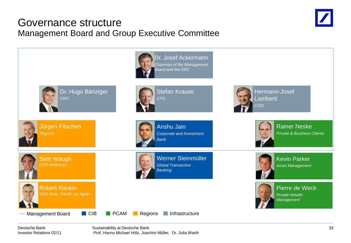# Governance structure Management Board and Group Executive Committee

![](_page_33_Picture_1.jpeg)

![](_page_33_Figure_2.jpeg)

Deutsche Bank Investor Relations 02/11 Sustainability at Deutsche Bank Prof. Hanns Michael Hölz, Joachim Müller, Dr. Julia Warth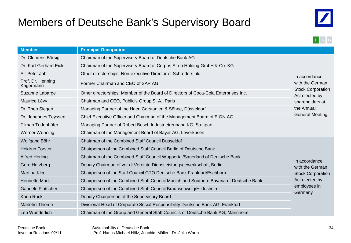# Members of Deutsche Bank's Supervisory Board

![](_page_34_Picture_1.jpeg)

![](_page_34_Picture_2.jpeg)

| <b>Member</b>                  | <b>Principal Occupation</b>                                                            |                                             |
|--------------------------------|----------------------------------------------------------------------------------------|---------------------------------------------|
| Dr. Clemens Börsig             | Chairman of the Supervisory Board of Deutsche Bank AG                                  |                                             |
| Dr. Karl-Gerhard Eick          | Chairman of the Supervisory Board of Corpus Sireo Holding GmbH & Co. KG                |                                             |
| Sir Peter Job                  | Other directorships: Non-executive Director of Schroders plc.                          | In accordance                               |
| Prof. Dr. Henning<br>Kagermann | Former Chairman and CEO of SAP AG                                                      | with the German<br><b>Stock Corporation</b> |
| Suzanne Labarge                | Other directorships: Member of the Board of Directors of Coca-Cola Enterprises Inc.    | Act elected by                              |
| Maurice Lévy                   | Chairman and CEO, Publicis Group S. A., Paris                                          | shareholders at                             |
| Dr. Theo Siegert               | Managing Partner of the Haen Carstanjen & Söhne, Düsseldorf                            |                                             |
| Dr. Johannes Teyssen           | Chief Executive Officer and Chairman of the Management Board of E.ON AG                |                                             |
| Tilman Todenhöfer              | Managing Partner of Robert Bosch Industrietreuhand KG, Stuttgart                       |                                             |
| Werner Wenning                 | Chairman of the Management Board of Bayer AG, Leverkusen                               |                                             |
| Wolfgang Böhr                  | Chairman of the Combined Staff Council Düsseldof                                       |                                             |
| Heidrun Förster                | Chairperson of the Combined Staff Council Berlin of Deutsche Bank                      |                                             |
| <b>Alfred Herling</b>          | Chairman of the Combined Staff Council Wuppertal/Sauerland of Deutsche Bank            |                                             |
| Gerd Herzberg                  | Deputy Chairman of ver.di Vereinte Dienstleistungsgewerkschaft, Berlin                 | In accordance<br>with the German            |
| <b>Martina Klee</b>            | Chairperson of the Staff Council GTO Deutsche Bank Frankfurt/Eschborn                  | <b>Stock Corporation</b>                    |
| <b>Henriette Mark</b>          | Chairperson of the Combined Staff Council Munich and Southern Bavaria of Deutsche Bank | Act elected by                              |
| Gabriele Platscher             | Chairperson of the Combined Staff Council Braunschweig/Hildesheim                      | employees in                                |
| <b>Karin Ruck</b>              | Deputy Chairperson of the Supervisory Board                                            | Germany                                     |
| Marlehn Thieme                 | Divisional Head of Corporate Social Responsibility Deutsche Bank AG, Frankfurt         |                                             |
| Leo Wunderlich                 | Chairman of the Group and General Staff Councils of Deutsche Bank AG, Mannheim         |                                             |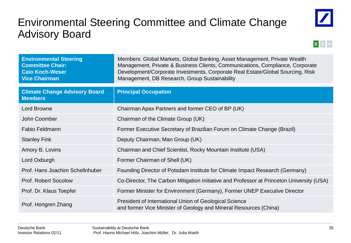# Environmental Steering Committee and Climate Change Advisory Board

![](_page_35_Picture_1.jpeg)

![](_page_35_Picture_2.jpeg)

| <b>Environmental Steering</b><br><b>Committee Chair:</b><br><b>Caio Koch-Weser</b><br><b>Vice Chairman</b> | Members: Global Markets, Global Banking, Asset Management, Private Wealth<br>Management, Private & Business Clients, Communications, Compliance, Corporate<br>Development/Corporate Investments, Corporate Real Estate/Global Sourcing, Risk<br>Management, DB Research, Group Sustainability |
|------------------------------------------------------------------------------------------------------------|-----------------------------------------------------------------------------------------------------------------------------------------------------------------------------------------------------------------------------------------------------------------------------------------------|
| <b>Climate Change Advisory Board</b><br><b>Members</b>                                                     | <b>Principal Occupation</b>                                                                                                                                                                                                                                                                   |
| Lord Browne                                                                                                | Chairman Apax Partners and former CEO of BP (UK)                                                                                                                                                                                                                                              |
| John Coomber                                                                                               | Chairman of the Climate Group (UK)                                                                                                                                                                                                                                                            |
| <b>Fabio Feldmann</b>                                                                                      | Former Executive Secretary of Brazilian Forum on Climate Change (Brazil)                                                                                                                                                                                                                      |
| <b>Stanley Fink</b>                                                                                        | Deputy Chairman, Man Group (UK)                                                                                                                                                                                                                                                               |
| Amory B. Lovins                                                                                            | Chairman and Chief Scientist, Rocky Mountain Institute (USA)                                                                                                                                                                                                                                  |
| Lord Oxburgh                                                                                               | Former Chairman of Shell (UK)                                                                                                                                                                                                                                                                 |
| Prof. Hans Joachim Schellnhuber                                                                            | Founding Director of Potsdam Institute for Climate Impact Research (Germany)                                                                                                                                                                                                                  |
| <b>Prof. Robert Socolow</b>                                                                                | Co-Director, The Carbon Mitigation Initiative and Professor at Princeton University (USA)                                                                                                                                                                                                     |
| Prof. Dr. Klaus Toepfer                                                                                    | Former Minister for Environment (Germany), Former UNEP Executive Director                                                                                                                                                                                                                     |
| Prof. Hongren Zhang                                                                                        | President of International Union of Geological Science<br>and former Vice Minister of Geology and Mineral Resources (China)                                                                                                                                                                   |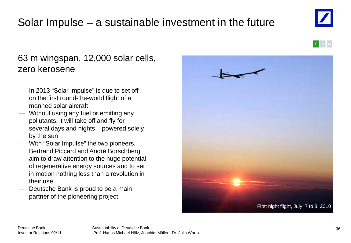#### Deutsche Bank Investor Relations 02/11

Solar Impulse – a sustainable investment in the future

— In 2013 "Solar Impulse" is due to set off on the first round-the-world flight of a manned solar aircraft

zero kerosene

63 m wingspan, 12,000 solar cells,

- Without using any fuel or emitting any pollutants, it will take off and fly for several days and nights – powered solely by the sun
- With "Solar Impulse" the two pioneers, Bertrand Piccard and André Borschberg, aim to draw attention to the huge potential of regenerative energy sources and to set in motion nothing less than a revolution in their use
- Deutsche Bank is proud to be a main partner of the pioneering project

![](_page_36_Picture_8.jpeg)

![](_page_36_Picture_9.jpeg)

![](_page_36_Picture_10.jpeg)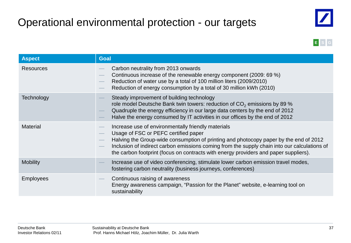# Operational environmental protection - our targets

![](_page_37_Picture_1.jpeg)

![](_page_37_Picture_2.jpeg)

| <b>Aspect</b>    | <b>Goal</b>                                                                                                                                                                                                                                                                                                                                                                 |  |
|------------------|-----------------------------------------------------------------------------------------------------------------------------------------------------------------------------------------------------------------------------------------------------------------------------------------------------------------------------------------------------------------------------|--|
| <b>Resources</b> | Carbon neutrality from 2013 onwards<br>Continuous increase of the renewable energy component (2009: 69 %)<br>Reduction of water use by a total of 100 million liters (2009/2010)<br>Reduction of energy consumption by a total of 30 million kWh (2010)                                                                                                                     |  |
| Technology       | Steady improvement of building technology<br>role model Deutsche Bank twin towers: reduction of $CO2$ emissions by 89 %<br>Quadruple the energy efficiency in our large data centers by the end of 2012<br>Halve the energy consumed by IT activities in our offices by the end of 2012                                                                                     |  |
| <b>Material</b>  | Increase use of environmentally friendly materials<br>Usage of FSC or PEFC certified paper<br>Halving the Group-wide consumption of printing and photocopy paper by the end of 2012<br>Inclusion of indirect carbon emissions coming from the supply chain into our calculations of<br>the carbon footprint (focus on contracts with energy providers and paper suppliers). |  |
| <b>Mobility</b>  | Increase use of video conferencing, stimulate lower carbon emission travel modes,<br>fostering carbon neutrality (business journeys, conferences)                                                                                                                                                                                                                           |  |
| <b>Employees</b> | Continuous raising of awareness<br>Energy awareness campaign, "Passion for the Planet" website, e-learning tool on<br>sustainability                                                                                                                                                                                                                                        |  |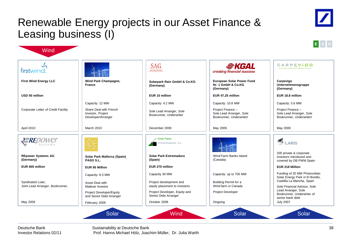# Renewable Energy projects in our Asset Finance & Leasing business (I)

![](_page_38_Figure_1.jpeg)

Deutsche Bank Investor Relations 02/11 Sustainability at Deutsche Bank

Prof. Hanns Michael Hölz, Joachim Müller, Dr. Julia Warth

![](_page_38_Picture_6.jpeg)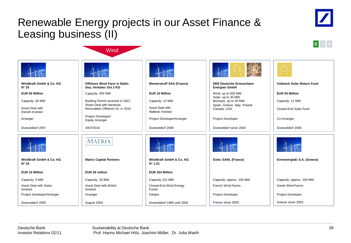# Renewable Energy projects in our Asset Finance & Leasing business (II)

**Wind** 

![](_page_39_Picture_1.jpeg)

![](_page_39_Picture_2.jpeg)

|                                           |                                                                |                                             | 兴盛                                                                         |                                   |
|-------------------------------------------|----------------------------------------------------------------|---------------------------------------------|----------------------------------------------------------------------------|-----------------------------------|
| Windkraft GmbH & Co. KG<br>$N^{\circ} 25$ | Offshore Wind Farm in Baltic<br>Sea, Ventotec Ost 2 KG         | <b>Momerstroff SAS (France)</b>             | <b>DEE Deutsche Erneuerbare</b><br><b>Energien GmbH</b>                    | <b>Voltwerk Solar Return Fund</b> |
| <b>EUR 50 Million</b>                     | Capacity: 400 MW                                               | <b>EUR 15 Million</b>                       | Wind: up to 500 MW                                                         | <b>EUR 54 Million</b>             |
| Capacity: 40 MW                           | Building Permit received in 2007,<br>Share Deal with Iberdrola | Capacity: 12 MW<br>Asset Deal with          | Solar: up to 30 MW<br>Biomass: up to 30 MW<br>Spain, Greece, Italy, Poland | Capacity: 12 MW                   |
| Asset Deal with<br>Danish Investor        | Revovables Offshore Dt. in 2010                                | Maltese Investor                            | Canada, USA                                                                | Closed-End Solar Fund             |
| Arranger                                  | Project Developer/<br><b>Equity Arranger</b>                   | Project Developer/Arranger                  | <b>Project Developer</b>                                                   | Co-Arranger                       |
| Duesseldorf 2007                          | 2007/2010                                                      | Duesseldorf 2006                            | Duesseldorf since 2004                                                     | Duesseldorf 2005                  |
|                                           | MATRIX                                                         |                                             |                                                                            |                                   |
| Windkraft GmbH & Co. KG<br>$N^{\circ} 24$ | <b>Matrix Capital Partners</b>                                 | Windkraft GmbH & Co. KG<br>$N^{\circ}$ 1-21 | Eolec SARL (France)                                                        | Evroenergiaki S.A. (Greece)       |
| <b>EUR 10 Million</b>                     | EUR 29 million                                                 | EUR 324 Million                             |                                                                            |                                   |
| Capacity: 6 MW                            | Capacity: 20 MW                                                | Capacity 222 MW                             | Capacity: approx. 100 MW                                                   | Capacity: approx. 100 MW          |
| <b>Asset Deal with Swiss</b><br>Investor  | Asset Deal with British<br>Investor                            | Closed-End Wind Energy<br>Funds             | <b>French Wind Farms</b>                                                   | <b>Greek Wind Farms</b>           |
| Project Developer/Arranger                | Arranger                                                       | Initiator                                   | <b>Project Developer</b>                                                   | Project Developer                 |
| Duesseldorf 2005                          | August 2004                                                    | Duesseldorf 1999 until 2004                 | France since 2003                                                          | Greece since 2003                 |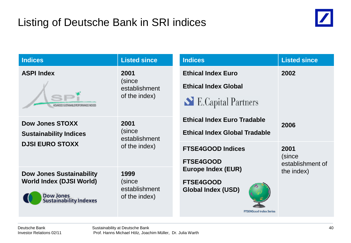# Listing of Deutsche Bank in SRI indices

![](_page_40_Picture_1.jpeg)

| <b>Indices</b>                                                                                                          | <b>Listed since</b>                              | <b>Indices</b>                                                                                                             | <b>Listed since</b>            |
|-------------------------------------------------------------------------------------------------------------------------|--------------------------------------------------|----------------------------------------------------------------------------------------------------------------------------|--------------------------------|
| <b>ASPI Index</b><br>ADVANCED SUSTAINABLE PERFORMANCE INDICES                                                           | 2001<br>(since<br>establishment<br>of the index) | <b>Ethical Index Euro</b><br><b>Ethical Index Global</b><br>E.Capital Partners                                             | 2002                           |
| <b>Dow Jones STOXX</b><br><b>Sustainability Indices</b><br><b>DJSI EURO STOXX</b>                                       | 2001<br>(since<br>establishment<br>of the index) | <b>Ethical Index Euro Tradable</b><br><b>Ethical Index Global Tradable</b><br><b>FTSE4GOOD Indices</b><br><b>FTSE4GOOD</b> | 2006<br>2001<br>(since         |
| <b>Dow Jones Sustainability</b><br><b>World Index (DJSI World)</b><br><b>Dow Jones</b><br><b>Sustainability Indexes</b> | 1999<br>(since<br>establishment<br>of the index) | <b>Europe Index (EUR)</b><br><b>FTSE4GOOD</b><br><b>Global Index (USD)</b><br><b>FTSE4Good Index Series</b>                | establishment of<br>the index) |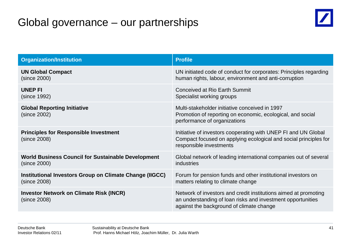# Global governance – our partnerships

![](_page_41_Picture_1.jpeg)

| <b>Organization/Institution</b>                                | <b>Profile</b>                                                                                                                                                             |
|----------------------------------------------------------------|----------------------------------------------------------------------------------------------------------------------------------------------------------------------------|
| <b>UN Global Compact</b>                                       | UN initiated code of conduct for corporates: Principles regarding                                                                                                          |
| (since 2000)                                                   | human rights, labour, environment and anti-corruption                                                                                                                      |
| <b>UNEP FI</b>                                                 | <b>Conceived at Rio Earth Summit</b>                                                                                                                                       |
| (since 1992)                                                   | Specialist working groups                                                                                                                                                  |
| <b>Global Reporting Initiative</b><br>(since 2002)             | Multi-stakeholder initiative conceived in 1997<br>Promotion of reporting on economic, ecological, and social<br>performance of organizations                               |
| <b>Principles for Responsible Investment</b><br>(since 2008)   | Initiative of investors cooperating with UNEP FI and UN Global<br>Compact focused on applying ecological and social principles for<br>responsible investments              |
| <b>World Business Council for Sustainable Development</b>      | Global network of leading international companies out of several                                                                                                           |
| (since 2000)                                                   | industries                                                                                                                                                                 |
| Institutional Investors Group on Climate Change (IIGCC)        | Forum for pension funds and other institutional investors on                                                                                                               |
| (since 2008)                                                   | matters relating to climate change                                                                                                                                         |
| <b>Investor Network on Climate Risk (INCR)</b><br>(since 2008) | Network of investors and credit institutions aimed at promoting<br>an understanding of loan risks and investment opportunities<br>against the background of climate change |